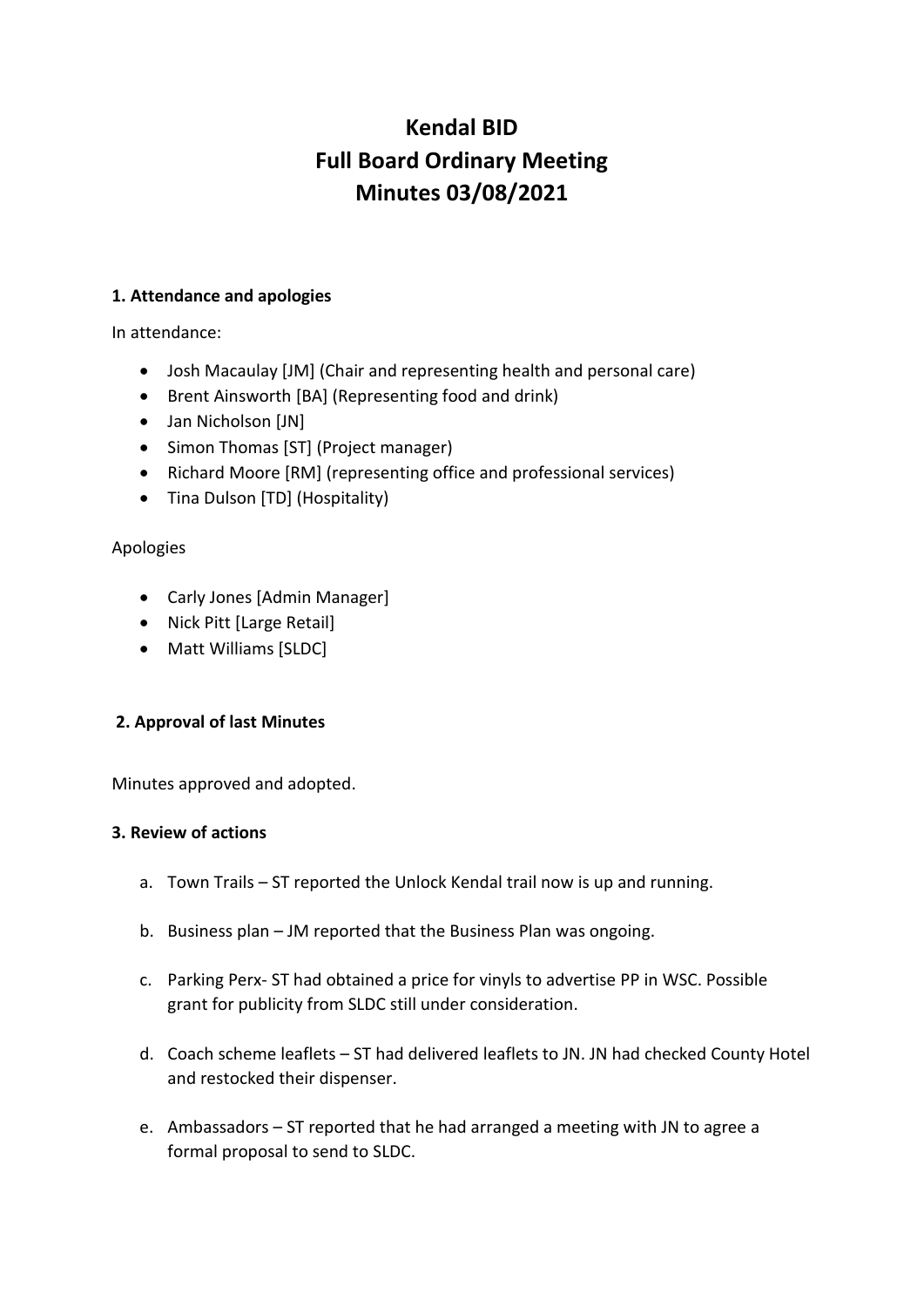# **Kendal BID Full Board Ordinary Meeting Minutes 03/08/2021**

# **1. Attendance and apologies**

In attendance:

- Josh Macaulay [JM] (Chair and representing health and personal care)
- Brent Ainsworth [BA] (Representing food and drink)
- Jan Nicholson [JN]
- Simon Thomas [ST] (Project manager)
- Richard Moore [RM] (representing office and professional services)
- Tina Dulson [TD] (Hospitality)

# Apologies

- Carly Jones [Admin Manager]
- Nick Pitt [Large Retail]
- Matt Williams [SLDC]

# **2. Approval of last Minutes**

Minutes approved and adopted.

# **3. Review of actions**

- a. Town Trails ST reported the Unlock Kendal trail now is up and running.
- b. Business plan JM reported that the Business Plan was ongoing.
- c. Parking Perx- ST had obtained a price for vinyls to advertise PP in WSC. Possible grant for publicity from SLDC still under consideration.
- d. Coach scheme leaflets ST had delivered leaflets to JN. JN had checked County Hotel and restocked their dispenser.
- e. Ambassadors ST reported that he had arranged a meeting with JN to agree a formal proposal to send to SLDC.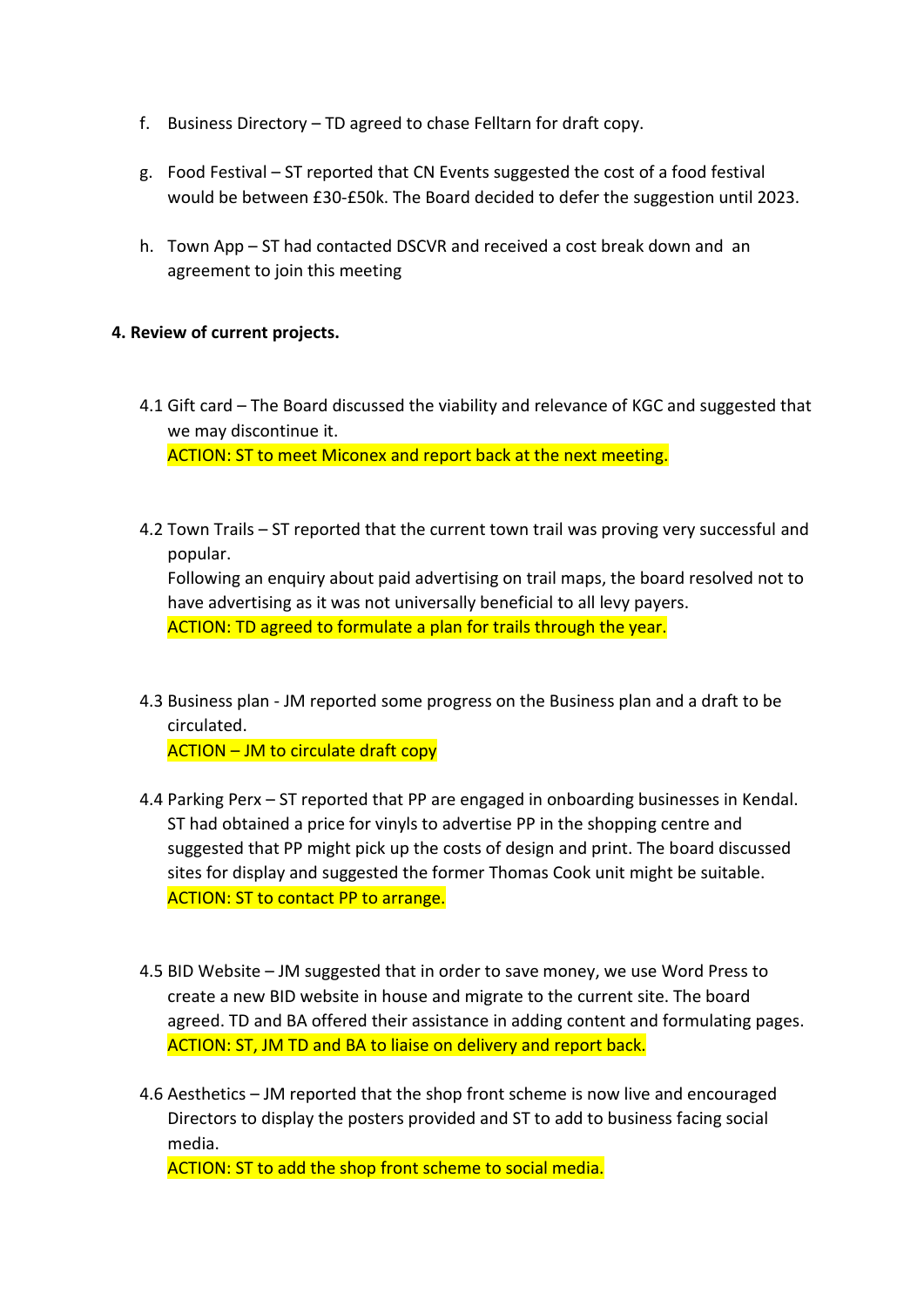- f. Business Directory TD agreed to chase Felltarn for draft copy.
- g. Food Festival ST reported that CN Events suggested the cost of a food festival would be between £30-£50k. The Board decided to defer the suggestion until 2023.
- h. Town App ST had contacted DSCVR and received a cost break down and an agreement to join this meeting

#### **4. Review of current projects.**

- 4.1 Gift card The Board discussed the viability and relevance of KGC and suggested that we may discontinue it. ACTION: ST to meet Miconex and report back at the next meeting.
- 4.2 Town Trails ST reported that the current town trail was proving very successful and popular. Following an enquiry about paid advertising on trail maps, the board resolved not to have advertising as it was not universally beneficial to all levy payers. ACTION: TD agreed to formulate a plan for trails through the year.
- 4.3 Business plan JM reported some progress on the Business plan and a draft to be circulated.

ACTION – JM to circulate draft copy

- 4.4 Parking Perx ST reported that PP are engaged in onboarding businesses in Kendal. ST had obtained a price for vinyls to advertise PP in the shopping centre and suggested that PP might pick up the costs of design and print. The board discussed sites for display and suggested the former Thomas Cook unit might be suitable. ACTION: ST to contact PP to arrange.
- 4.5 BID Website JM suggested that in order to save money, we use Word Press to create a new BID website in house and migrate to the current site. The board agreed. TD and BA offered their assistance in adding content and formulating pages. ACTION: ST, JM TD and BA to liaise on delivery and report back.
- 4.6 Aesthetics JM reported that the shop front scheme is now live and encouraged Directors to display the posters provided and ST to add to business facing social media.

ACTION: ST to add the shop front scheme to social media.